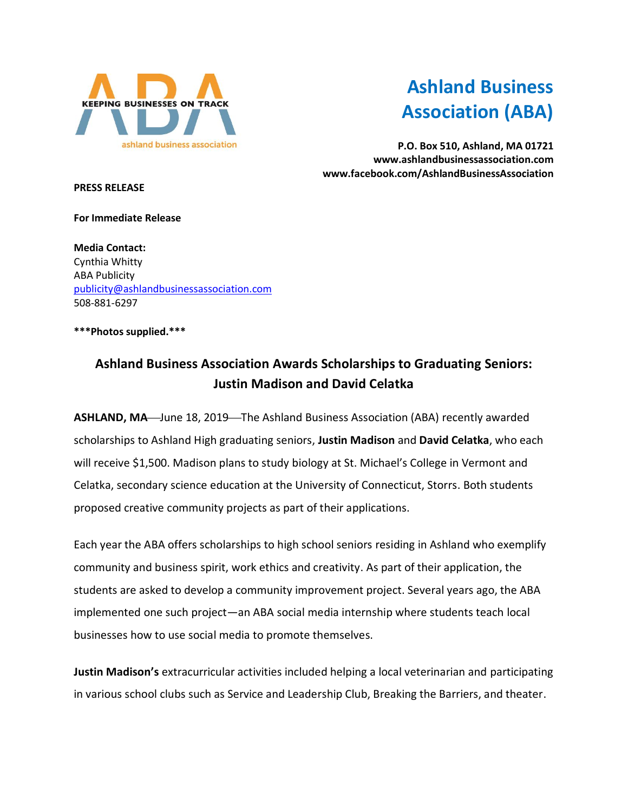

## **Ashland Business Association (ABA)**

**P.O. Box 510, Ashland, MA 01721 www.ashlandbusinessassociation.com www.facebook.com/AshlandBusinessAssociation**

**PRESS RELEASE**

**For Immediate Release**

**Media Contact:** Cynthia Whitty ABA Publicity [publicity@ashlandbusinessassociation.com](mailto:publicity@ashlandbusinessassociation.com) 508-881-6297

**\*\*\*Photos supplied.\*\*\***

## **Ashland Business Association Awards Scholarships to Graduating Seniors: Justin Madison and David Celatka**

ASHLAND, MA—June 18, 2019—The Ashland Business Association (ABA) recently awarded scholarships to Ashland High graduating seniors, **Justin Madison** and **David Celatka**, who each will receive \$1,500. Madison plans to study biology at St. Michael's College in Vermont and Celatka, secondary science education at the University of Connecticut, Storrs. Both students proposed creative community projects as part of their applications.

Each year the ABA offers scholarships to high school seniors residing in Ashland who exemplify community and business spirit, work ethics and creativity. As part of their application, the students are asked to develop a community improvement project. Several years ago, the ABA implemented one such project—an ABA social media internship where students teach local businesses how to use social media to promote themselves.

**Justin Madison's** extracurricular activities included helping a local veterinarian and participating in various school clubs such as Service and Leadership Club, Breaking the Barriers, and theater.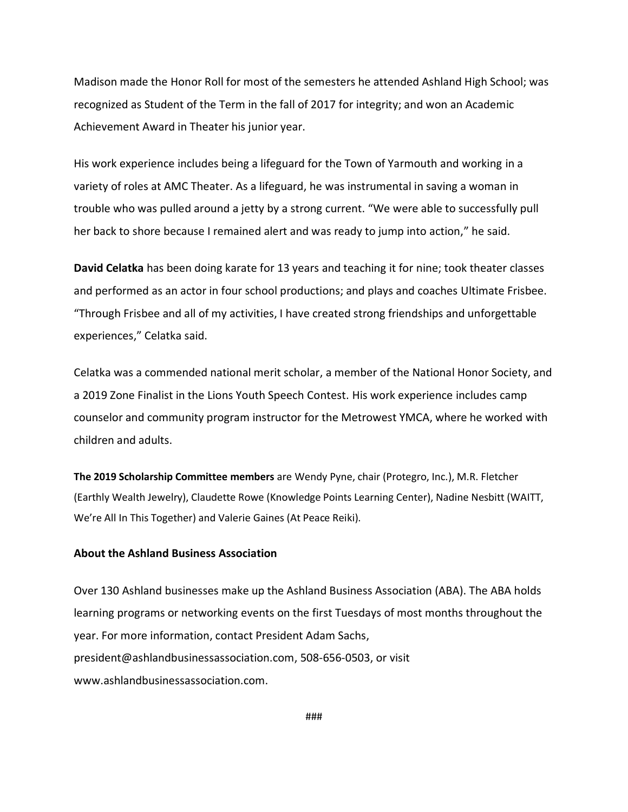Madison made the Honor Roll for most of the semesters he attended Ashland High School; was recognized as Student of the Term in the fall of 2017 for integrity; and won an Academic Achievement Award in Theater his junior year.

His work experience includes being a lifeguard for the Town of Yarmouth and working in a variety of roles at AMC Theater. As a lifeguard, he was instrumental in saving a woman in trouble who was pulled around a jetty by a strong current. "We were able to successfully pull her back to shore because I remained alert and was ready to jump into action," he said.

**David Celatka** has been doing karate for 13 years and teaching it for nine; took theater classes and performed as an actor in four school productions; and plays and coaches Ultimate Frisbee. "Through Frisbee and all of my activities, I have created strong friendships and unforgettable experiences," Celatka said.

Celatka was a commended national merit scholar, a member of the National Honor Society, and a 2019 Zone Finalist in the Lions Youth Speech Contest. His work experience includes camp counselor and community program instructor for the Metrowest YMCA, where he worked with children and adults.

**The 2019 Scholarship Committee members** are Wendy Pyne, chair (Protegro, Inc.), M.R. Fletcher (Earthly Wealth Jewelry), Claudette Rowe (Knowledge Points Learning Center), Nadine Nesbitt (WAITT, We're All In This Together) and Valerie Gaines (At Peace Reiki).

## **About the Ashland Business Association**

Over 130 Ashland businesses make up the Ashland Business Association (ABA). The ABA holds learning programs or networking events on the first Tuesdays of most months throughout the year. For more information, contact President Adam Sachs, president@ashlandbusinessassociation.com, 508-656-0503, or visit www.ashlandbusinessassociation.com.